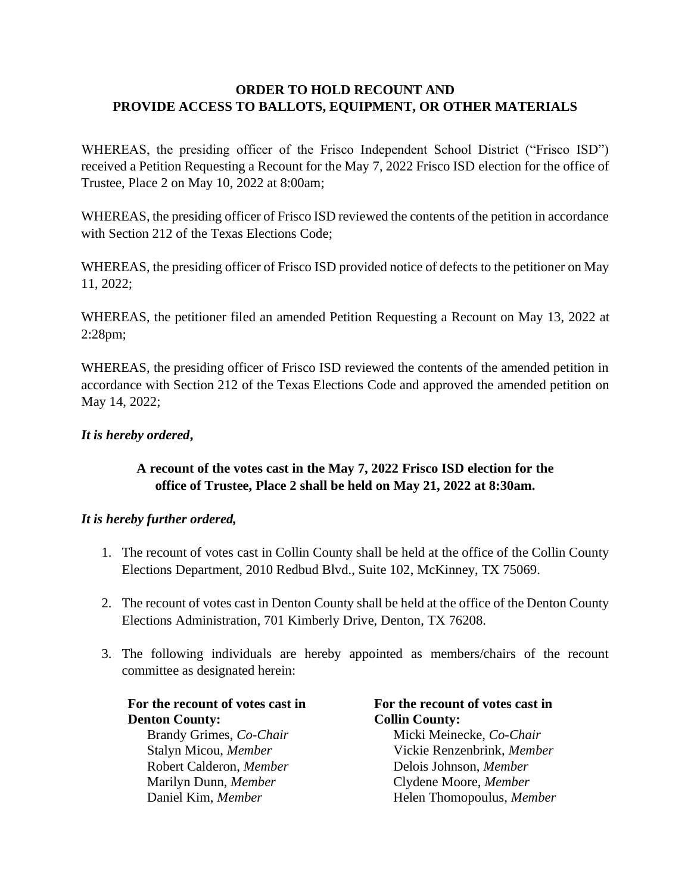# **ORDER TO HOLD RECOUNT AND PROVIDE ACCESS TO BALLOTS, EQUIPMENT, OR OTHER MATERIALS**

WHEREAS, the presiding officer of the Frisco Independent School District ("Frisco ISD") received a Petition Requesting a Recount for the May 7, 2022 Frisco ISD election for the office of Trustee, Place 2 on May 10, 2022 at 8:00am;

WHEREAS, the presiding officer of Frisco ISD reviewed the contents of the petition in accordance with Section 212 of the Texas Elections Code;

WHEREAS, the presiding officer of Frisco ISD provided notice of defects to the petitioner on May 11, 2022;

WHEREAS, the petitioner filed an amended Petition Requesting a Recount on May 13, 2022 at 2:28pm;

WHEREAS, the presiding officer of Frisco ISD reviewed the contents of the amended petition in accordance with Section 212 of the Texas Elections Code and approved the amended petition on May 14, 2022;

# *It is hereby ordered***,**

# **A recount of the votes cast in the May 7, 2022 Frisco ISD election for the office of Trustee, Place 2 shall be held on May 21, 2022 at 8:30am.**

#### *It is hereby further ordered,*

- 1. The recount of votes cast in Collin County shall be held at the office of the Collin County Elections Department, 2010 Redbud Blvd., Suite 102, McKinney, TX 75069.
- 2. The recount of votes cast in Denton County shall be held at the office of the Denton County Elections Administration, 701 Kimberly Drive, Denton, TX 76208.
- 3. The following individuals are hereby appointed as members/chairs of the recount committee as designated herein:

# **For the recount of votes cast in Denton County:**

Brandy Grimes, *Co-Chair* Micki Meinecke, *Co-Chair* Robert Calderon, *Member* Delois Johnson, *Member* Marilyn Dunn, *Member* Clydene Moore, *Member*

# **For the recount of votes cast in Collin County:**

Stalyn Micou, *Member* Vickie Renzenbrink, *Member* Daniel Kim, *Member* Helen Thomopoulus, *Member*